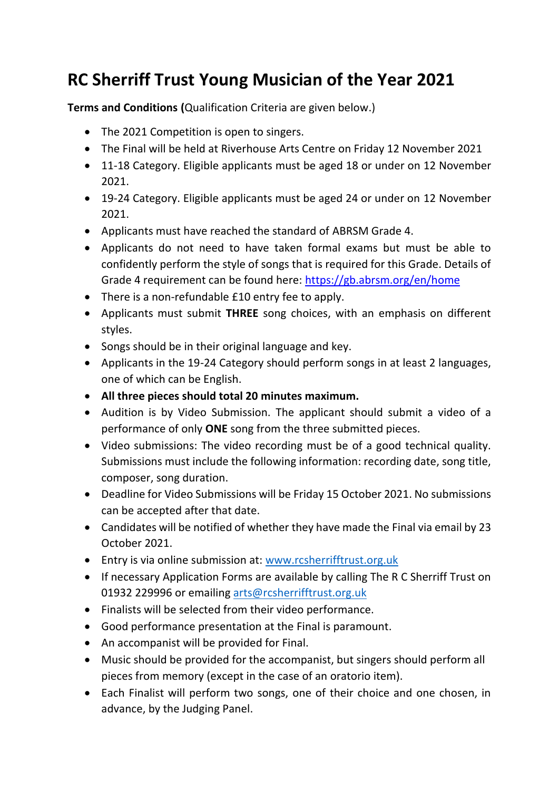## **RC Sherriff Trust Young Musician of the Year 2021**

**Terms and Conditions (**Qualification Criteria are given below.)

- The 2021 Competition is open to singers.
- The Final will be held at Riverhouse Arts Centre on Friday 12 November 2021
- 11-18 Category. Eligible applicants must be aged 18 or under on 12 November 2021.
- 19-24 Category. Eligible applicants must be aged 24 or under on 12 November 2021.
- Applicants must have reached the standard of ABRSM Grade 4.
- Applicants do not need to have taken formal exams but must be able to confidently perform the style of songs that is required for this Grade. Details of Grade 4 requirement can be found here:<https://gb.abrsm.org/en/home>
- There is a non-refundable £10 entry fee to apply.
- Applicants must submit **THREE** song choices, with an emphasis on different styles.
- Songs should be in their original language and key.
- Applicants in the 19-24 Category should perform songs in at least 2 languages, one of which can be English.
- **All three pieces should total 20 minutes maximum.**
- Audition is by Video Submission. The applicant should submit a video of a performance of only **ONE** song from the three submitted pieces.
- Video submissions: The video recording must be of a good technical quality. Submissions must include the following information: recording date, song title, composer, song duration.
- Deadline for Video Submissions will be Friday 15 October 2021. No submissions can be accepted after that date.
- Candidates will be notified of whether they have made the Final via email by 23 October 2021.
- Entry is via online submission at: [www.rcsherrifftrust.org.uk](http://www.rcsherrifftrust.org.uk/)
- If necessary Application Forms are available by calling The R C Sherriff Trust on 01932 229996 or emailing [arts@rcsherrifftrust.org.uk](mailto:arts@rcsherrifftrust.org.uk)
- Finalists will be selected from their video performance.
- Good performance presentation at the Final is paramount.
- An accompanist will be provided for Final.
- Music should be provided for the accompanist, but singers should perform all pieces from memory (except in the case of an oratorio item).
- Each Finalist will perform two songs, one of their choice and one chosen, in advance, by the Judging Panel.